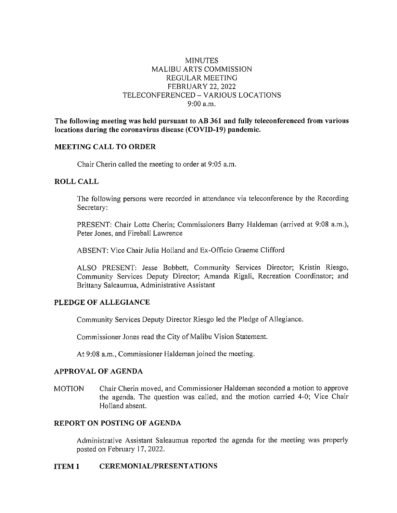# MINUTES MALIBU ARTS COMMISSION REGULAR MEETING FEBRUARY 22, 2022 TELECONFERENCED - VARIOUS LOCATIONS 9:00 a.m.

**The following meeting was held pursuant to AB 361 and fully teleconferenced from various locations during the coronavirus disease (COVID-19) pandemic.** 

## **MEETING CALL TO ORDER**

Chair Cherin called the meeting to order at 9:05 a.m.

## **ROLL CALL**

The following persons were recorded in attendance via teleconference by the Recording Secretary:

PRESENT: Chair Lotte Cherin; Commissioners Barry Haldeman (arrived at 9:08 a.m.), Peter Jones, and Fireball Lawrence

ABSENT: Vice Chair Julia Holland and Ex-Officio Graeme Clifford

ALSO PRESENT: Jesse Bobbett, Community Services Director; Kristin Riesgo, Community Services Deputy Director; Amanda Rigali, Recreation Coordinator; and Brittany Saleaumua, Administrative Assistant

# **PLEDGE OF ALLEGIANCE**

Community Services Deputy Director Riesgo led the Pledge of Allegiance.

Commissioner Jones read the City of Malibu Vision Statement.

At 9:08 a.m., Commissioner Haldeman joined the meeting.

## **APPROVAL OF AGENDA**

MOTION Chair Cherin moved, and Commissioner Haldeman seconded a motion to approve the agenda. The question was called, and the motion carried 4-0; Vice Chair Holland absent.

## **REPORT ON POSTING OF AGENDA**

Administrative Assistant Saleaumua reported the agenda for the meeting was properly posted on February 17, 2022.

## **ITEM 1 CEREMONIAL/PRESENTATIONS**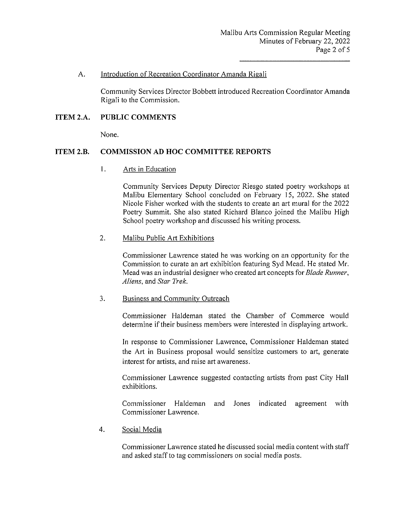#### A. Introduction of Recreation Coordinator Amanda Rigali

Community Services Director Bobbett introduced Recreation Coordinator Amanda Rigali to the Commission.

# **ITEM 2.A. PUBLIC COMMENTS**

None.

# **ITEM 2.B. COMMISSION AD HOC COMMITTEE REPORTS**

I. Arts in Education

Community Services Deputy Director Riesgo stated poetry workshops at Malibu Elementary School concluded on February 15, 2022. She stated Nicole Fisher worked with the students to create an art mural for the 2022 Poetry Summit. She also stated Richard Blanco joined the Malibu High School poetry workshop and discussed his writing process.

## 2. Malibu Public Art Exhibitions

Commissioner Lawrence stated he was working on an opportunity for the Commission to curate an art exhibition featuring Syd Mead. He stated Mr. Mead was an industrial designer who created art concepts for *Blade Runner, Aliens,* and *Star Trek.* 

## 3. Business and Community Outreach

Commissioner Haldeman stated the Chamber of Commerce would determine if their business members were interested in displaying artwork.

In response to Commissioner Lawrence, Commissioner Haldeman stated the Art in Business proposal would sensitize customers to art, generate interest for artists, and raise art awareness.

Commissioner Lawrence suggested contacting artists from past City Hall exhibitions.

Commissioner Haldeman and Jones indicated agreement with Commissioner Lawrence.

4. Social Media

Commissioner Lawrence stated he discussed social media content with staff and asked staff to tag commissioners on social media posts.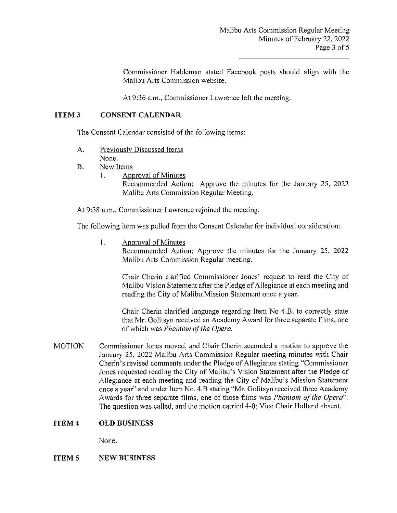Commissioner Haldeman stated Facebook posts should align with the Malibu Arts Commission website.

At 9:36 a.m., Commissioner Lawrence left the meeting.

### **ITEM3 CONSENT CALENDAR**

The Consent Calendar consisted of the following items:

- A. Previously Discussed Items None.
- B. New Items
	- 1. Approval of Minutes Recommended Action: Approve the minutes for the January 25, 2022 Malibu Arts Commission Regular Meeting.

At 9:38 a.m., Commissioner Lawrence rejoined the meeting.

The following item was pulled from the Consent Calendar for individual consideration:

1. Approval of Minutes

Recommended Action: Approve the minutes for the January 25, 2022 Malibu Arts Commission Regular meeting.

Chair Cherin clarified Commissioner Jones' request to read the City of Malibu Vision Statement after the Pledge of Allegiance at each meeting and reading the City of Malibu Mission Statement once a year.

Chair Cherin clarified language regarding Item No 4.B. to correctly state that Mr. Golitsyn received an Academy Award for three separate films, one of which was *Phantom of the Opera.* 

MOTION Commissioner Jones moved, and Chair Cherin seconded a motion to approve the January 25, 2022 Malibu Arts Commission Regular meeting minutes with Chair Cherin's revised comments under the Pledge of Allegiance stating "Commissioner Jones requested reading the City of Malibu's Vision Statement after the Pledge of Allegiance at each meeting and reading the City of Malibu's Mission Statement once a year" and under Item No. 4.B stating "Mr. Golitsyn received three Academy Awards for three separate films, one of those films was *Phantom of the Opera".*  The question was called, and the motion carried 4-0; Vice Chair Holland absent.

#### **ITEM4 OLD BUSINESS**

None.

#### **ITEM<sub>5</sub> NEW BUSINESS**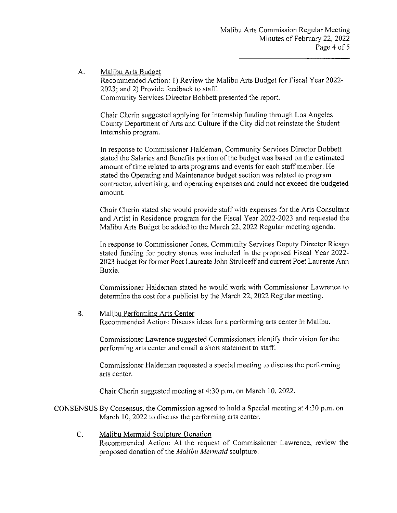A. Malibu Arts Budget

Recommended Action: 1) Review the Malibu Arts Budget for Fiscal Year 2022- 2023; and 2) Provide feedback to staff. Community Services Director Bobbett presented the report.

Chair Cherin suggested applying for internship funding through Los Angeles County Department of Arts and Culture if the City did not reinstate the Student Internship program.

In response to Commissioner Haldeman, Community Services Director Bobbett stated the Salaries and Benefits portion of the budget was based on the estimated amount of time related to arts programs and events for each staff member. He stated the Operating and Maintenance budget section was related to program contractor, advertising, and operating expenses and could not exceed the budgeted amount.

Chair Cherin stated she would provide staff with expenses for the Atis Consultant and Artist in Residence program for the Fiscal Year 2022-2023 and requested the Malibu Arts Budget be added to the March 22, 2022 Regular meeting agenda.

In response to Commissioner Jones, Community Services Deputy Director Riesgo stated funding for poetry stones was included in the proposed Fiscal Year 2022- 2023 budget for former Poet Laureate John Struloeff and current Poet Laureate Ann Buxie.

Commissioner Haldeman stated he would work with Commissioner Lawrence to determine the cost for a publicist by the March 22, 2022 Regular meeting.

B. Malibu Performing Arts Center Recommended Action: Discuss ideas for a performing arts center in Malibu.

Commissioner Lawrence suggested Commissioners identify their vision for the performing arts center and email a shoti statement to staff.

Commissioner Haldeman requested a special meeting to discuss the performing arts center.

Chair Cherin suggested meeting at 4:30 p.m. on March 10, 2022.

CONSENSUS By Consensus, the Commission agreed to hold a Special meeting at 4:30 p.m. on March 10, 2022 to discuss the performing arts center.

C. Malibu Mermaid Sculpture Donation Recommended Action: At the request of Commissioner Lawrence, review the proposed donation of the *Malibu Mermaid* sculpture.